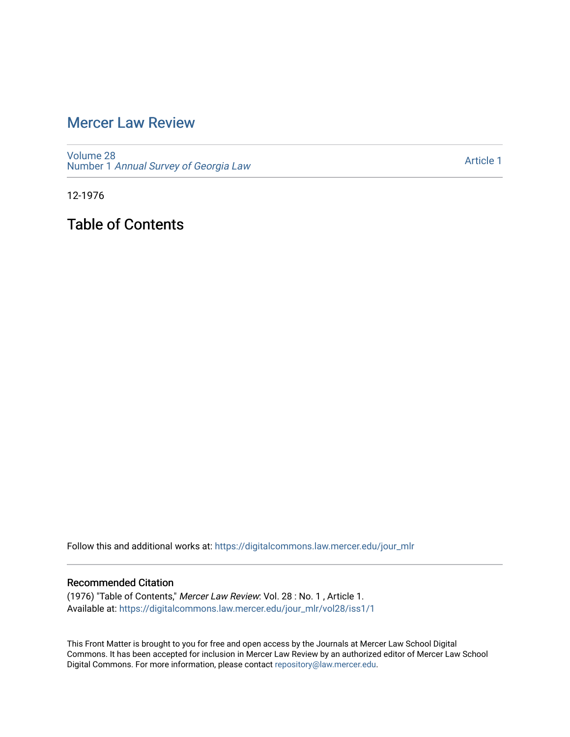## [Mercer Law Review](https://digitalcommons.law.mercer.edu/jour_mlr)

[Volume 28](https://digitalcommons.law.mercer.edu/jour_mlr/vol28) Number 1 [Annual Survey of Georgia Law](https://digitalcommons.law.mercer.edu/jour_mlr/vol28/iss1) 

[Article 1](https://digitalcommons.law.mercer.edu/jour_mlr/vol28/iss1/1) 

12-1976

Table of Contents

Follow this and additional works at: [https://digitalcommons.law.mercer.edu/jour\\_mlr](https://digitalcommons.law.mercer.edu/jour_mlr?utm_source=digitalcommons.law.mercer.edu%2Fjour_mlr%2Fvol28%2Fiss1%2F1&utm_medium=PDF&utm_campaign=PDFCoverPages)

#### Recommended Citation

(1976) "Table of Contents," Mercer Law Review: Vol. 28 : No. 1 , Article 1. Available at: [https://digitalcommons.law.mercer.edu/jour\\_mlr/vol28/iss1/1](https://digitalcommons.law.mercer.edu/jour_mlr/vol28/iss1/1?utm_source=digitalcommons.law.mercer.edu%2Fjour_mlr%2Fvol28%2Fiss1%2F1&utm_medium=PDF&utm_campaign=PDFCoverPages)

This Front Matter is brought to you for free and open access by the Journals at Mercer Law School Digital Commons. It has been accepted for inclusion in Mercer Law Review by an authorized editor of Mercer Law School Digital Commons. For more information, please contact [repository@law.mercer.edu](mailto:repository@law.mercer.edu).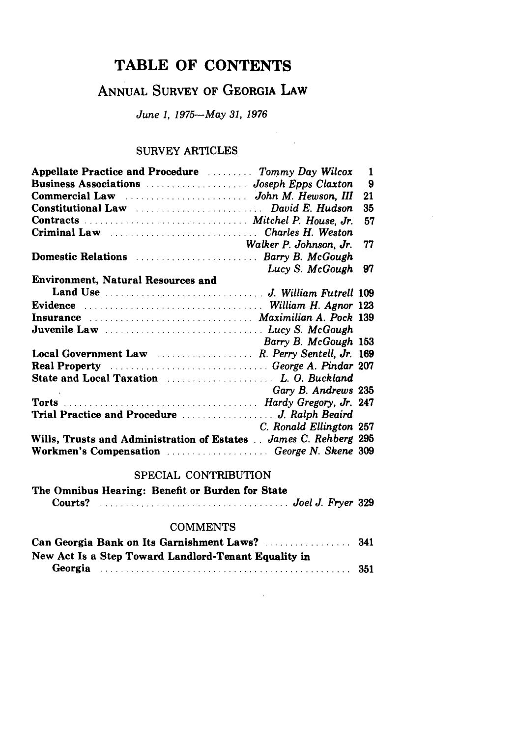## **TABLE OF CONTENTS**

# ANNUAL SURVEY OF GEORGIA LAW

June 1, 1975-May 31, 1976

### SURVEY ARTICLES

| Appellate Practice and Procedure  Tommy Day Wilcox                              | $\mathbf{1}$ |
|---------------------------------------------------------------------------------|--------------|
|                                                                                 | 9            |
|                                                                                 | 21           |
|                                                                                 | 35           |
|                                                                                 | 57           |
|                                                                                 |              |
| Walker P. Johnson, Jr.                                                          | 77           |
| Domestic Relations  Barry B. McGough                                            |              |
| Lucy S. McGough                                                                 | -97          |
| <b>Environment, Natural Resources and</b>                                       |              |
|                                                                                 |              |
|                                                                                 |              |
| Insurance Maximilian A. Pock 139                                                |              |
|                                                                                 |              |
| Barry B. McGough 153                                                            |              |
| Local Government Law  R. Perry Sentell, Jr. 169                                 |              |
| Real Property Manual Account of the George A. Pindar 207                        |              |
|                                                                                 |              |
| Gary B. Andrews 235                                                             |              |
|                                                                                 |              |
|                                                                                 |              |
| C. Ronald Ellington 257                                                         |              |
| Wills, Trusts and Administration of Estates  James C. Rehberg 295               |              |
| Workmen's Compensation <i>manufacture content</i> of <i>George N. Skene</i> 309 |              |

### SPECIAL CONTRIBUTION

|         |  | The Omnibus Hearing: Benefit or Burden for State |                   |
|---------|--|--------------------------------------------------|-------------------|
| Courts? |  |                                                  | Joel J. Fryer 329 |

#### **COMMENTS**

| New Act Is a Step Toward Landlord-Tenant Equality in |  |
|------------------------------------------------------|--|
|                                                      |  |